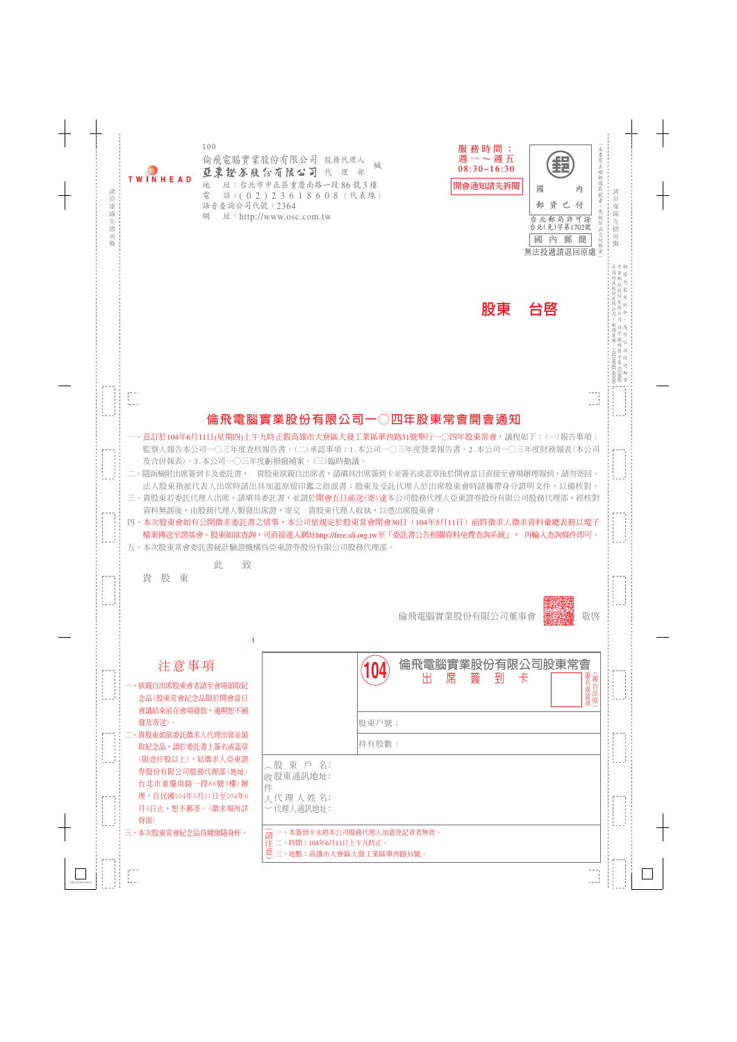